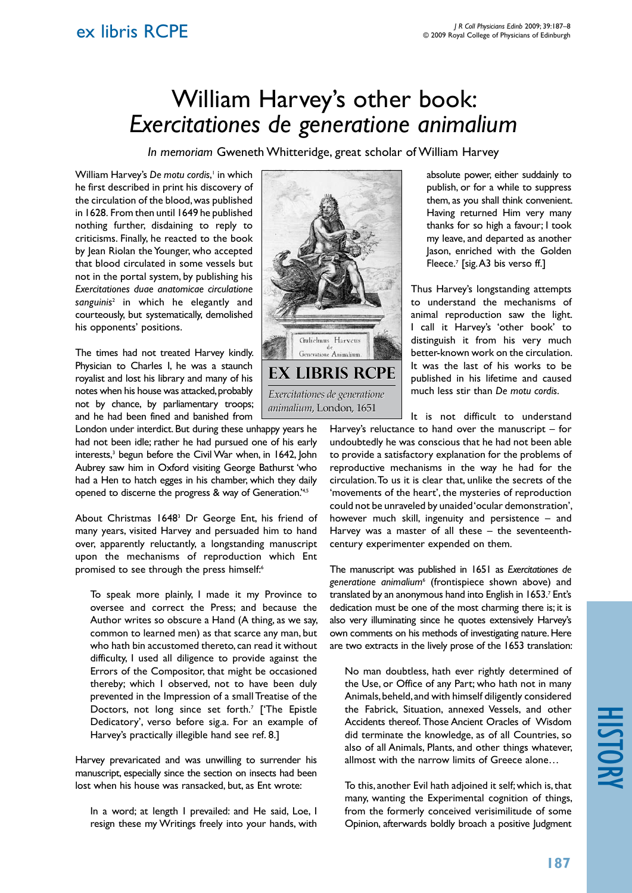## ex libris RCPE

## William Harvey's other book: *Exercitationes de generatione animalium*

*In memoriam* Gweneth Whitteridge, great scholar of William Harvey

William Harvey's De motu cordis,<sup>1</sup> in which he first described in print his discovery of the circulation of the blood, was published in 1628. From then until 1649 he published nothing further, disdaining to reply to criticisms. Finally, he reacted to the book by Jean Riolan the Younger, who accepted that blood circulated in some vessels but not in the portal system, by publishing his *Exercitationes duae anatomicae circulatione sanguinis*<sup>2</sup> in which he elegantly and courteously, but systematically, demolished his opponents' positions.

The times had not treated Harvey kindly. Physician to Charles I, he was a staunch royalist and lost his library and many of his notes when his house was attacked, probably not by chance, by parliamentary troops; and he had been fined and banished from

London under interdict. But during these unhappy years he had not been idle; rather he had pursued one of his early interests,<sup>3</sup> begun before the Civil War when, in 1642, John Aubrey saw him in Oxford visiting George Bathurst 'who had a Hen to hatch egges in his chamber, which they daily opened to discerne the progress & way of Generation.'4,5

About Christmas 1648<sup>3</sup> Dr George Ent, his friend of many years, visited Harvey and persuaded him to hand over, apparently reluctantly, a longstanding manuscript upon the mechanisms of reproduction which Ent promised to see through the press himself:<sup>6</sup>

To speak more plainly, I made it my Province to oversee and correct the Press; and because the Author writes so obscure a Hand (A thing, as we say, common to learned men) as that scarce any man, but who hath bin accustomed thereto, can read it without difficulty, I used all diligence to provide against the Errors of the Compositor, that might be occasioned thereby; which I observed, not to have been duly prevented in the Impression of a small Treatise of the Doctors, not long since set forth.<sup>7</sup> ['The Epistle Dedicatory', verso before sig.a. For an example of Harvey's practically illegible hand see ref. 8.]

Harvey prevaricated and was unwilling to surrender his manuscript, especially since the section on insects had been lost when his house was ransacked, but, as Ent wrote:

In a word; at length I prevailed: and He said, Loe, I resign these my Writings freely into your hands, with



absolute power, either suddainly to publish, or for a while to suppress them, as you shall think convenient. Having returned Him very many thanks for so high a favour; I took my leave, and departed as another Jason, enriched with the Golden Fleece.<sup>7</sup> [sig. A3 bis verso ff.]

Thus Harvey's longstanding attempts to understand the mechanisms of animal reproduction saw the light. I call it Harvey's 'other book' to distinguish it from his very much better-known work on the circulation. It was the last of his works to be published in his lifetime and caused much less stir than *De motu cordis*.

It is not difficult to understand Harvey's reluctance to hand over the manuscript – for undoubtedly he was conscious that he had not been able to provide a satisfactory explanation for the problems of reproductive mechanisms in the way he had for the circulation. To us it is clear that, unlike the secrets of the 'movements of the heart', the mysteries of reproduction could not be unraveled by unaided 'ocular demonstration', however much skill, ingenuity and persistence – and Harvey was a master of all these – the seventeenthcentury experimenter expended on them.

The manuscript was published in 1651 as *Exercitationes de generatione animalium*<sup>6</sup> (frontispiece shown above) and translated by an anonymous hand into English in 1653.<sup>7</sup> Ent's dedication must be one of the most charming there is; it is also very illuminating since he quotes extensively Harvey's own comments on his methods of investigating nature. Here are two extracts in the lively prose of the 1653 translation:

No man doubtless, hath ever rightly determined of the Use, or Office of any Part; who hath not in many Animals, beheld, and with himself diligently considered the Fabrick, Situation, annexed Vessels, and other Accidents thereof. Those Ancient Oracles of Wisdom did terminate the knowledge, as of all Countries, so also of all Animals, Plants, and other things whatever, allmost with the narrow limits of Greece alone…

To this, another Evil hath adjoined it self; which is, that many, wanting the Experimental cognition of things, from the formerly conceived verisimilitude of some Opinion, afterwards boldly broach a positive Judgment